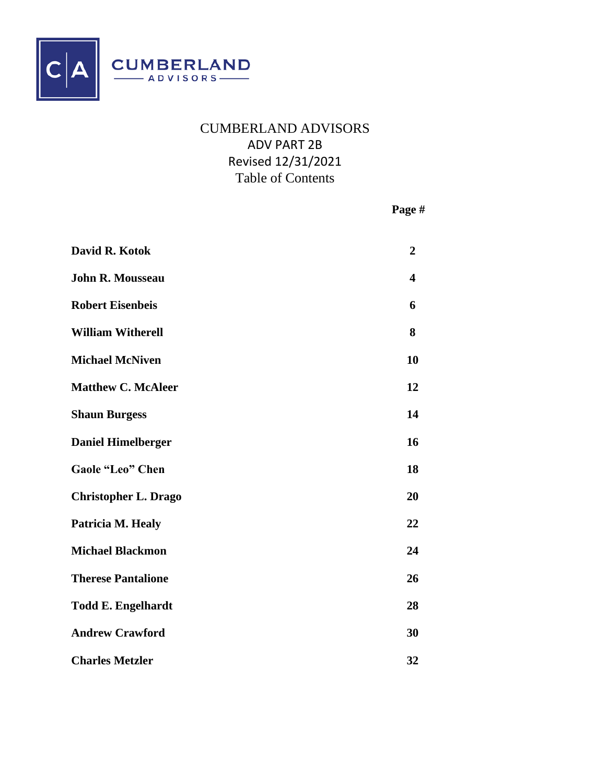

# CUMBERLAND ADVISORS ADV PART 2B Revised 12/31/2021 Table of Contents

**Page #**

| David R. Kotok              | $\boldsymbol{2}$ |
|-----------------------------|------------------|
| <b>John R. Mousseau</b>     | 4                |
| <b>Robert Eisenbeis</b>     | 6                |
| <b>William Witherell</b>    | 8                |
| <b>Michael McNiven</b>      | 10               |
| <b>Matthew C. McAleer</b>   | 12               |
| <b>Shaun Burgess</b>        | 14               |
| <b>Daniel Himelberger</b>   | 16               |
| <b>Gaole "Leo" Chen</b>     | 18               |
| <b>Christopher L. Drago</b> | 20               |
| Patricia M. Healy           | 22               |
| <b>Michael Blackmon</b>     | 24               |
| <b>Therese Pantalione</b>   | 26               |
| <b>Todd E. Engelhardt</b>   | 28               |
| <b>Andrew Crawford</b>      | 30               |
| <b>Charles Metzler</b>      | 32               |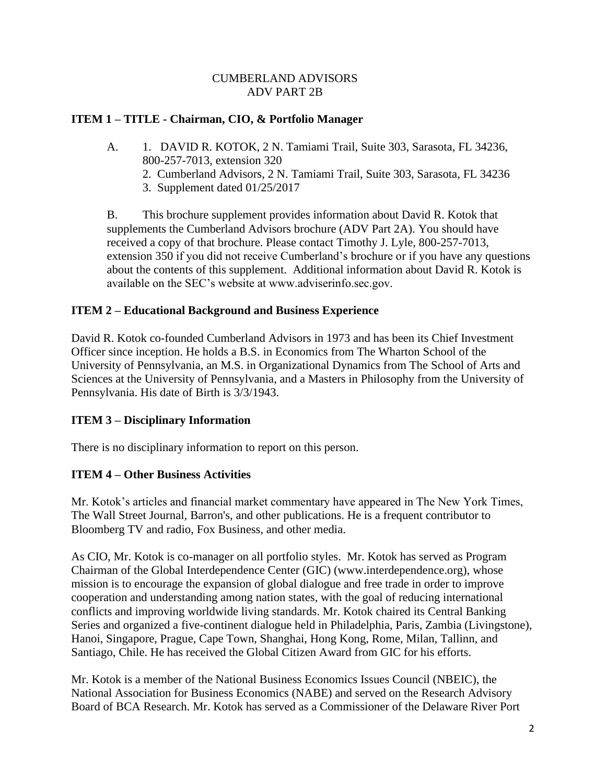## **ITEM 1 – TITLE - Chairman, CIO, & Portfolio Manager**

- A. 1. DAVID R. KOTOK, 2 N. Tamiami Trail, Suite 303, Sarasota, FL 34236, 800-257-7013, extension 320
	- 2. Cumberland Advisors, 2 N. Tamiami Trail, Suite 303, Sarasota, FL 34236
	- 3. Supplement dated 01/25/2017

B. This brochure supplement provides information about David R. Kotok that supplements the Cumberland Advisors brochure (ADV Part 2A). You should have received a copy of that brochure. Please contact Timothy J. Lyle, 800-257-7013, extension 350 if you did not receive Cumberland's brochure or if you have any questions about the contents of this supplement. Additional information about David R. Kotok is available on the SEC's website at www.adviserinfo.sec.gov.

## **ITEM 2 – Educational Background and Business Experience**

David R. Kotok co-founded Cumberland Advisors in 1973 and has been its Chief Investment Officer since inception. He holds a B.S. in Economics from The Wharton School of the University of Pennsylvania, an M.S. in Organizational Dynamics from The School of Arts and Sciences at the University of Pennsylvania, and a Masters in Philosophy from the University of Pennsylvania. His date of Birth is 3/3/1943.

## **ITEM 3 – Disciplinary Information**

There is no disciplinary information to report on this person.

## **ITEM 4 – Other Business Activities**

Mr. Kotok's articles and financial market commentary have appeared in The New York Times, The Wall Street Journal, Barron's, and other publications. He is a frequent contributor to Bloomberg TV and radio, Fox Business, and other media.

As CIO, Mr. Kotok is co-manager on all portfolio styles. Mr. Kotok has served as Program Chairman of the Global Interdependence Center (GIC) (www.interdependence.org), whose mission is to encourage the expansion of global dialogue and free trade in order to improve cooperation and understanding among nation states, with the goal of reducing international conflicts and improving worldwide living standards. Mr. Kotok chaired its Central Banking Series and organized a five-continent dialogue held in Philadelphia, Paris, Zambia (Livingstone), Hanoi, Singapore, Prague, Cape Town, Shanghai, Hong Kong, Rome, Milan, Tallinn, and Santiago, Chile. He has received the Global Citizen Award from GIC for his efforts.

Mr. Kotok is a member of the National Business Economics Issues Council (NBEIC), the National Association for Business Economics (NABE) and served on the Research Advisory Board of BCA Research. Mr. Kotok has served as a Commissioner of the Delaware River Port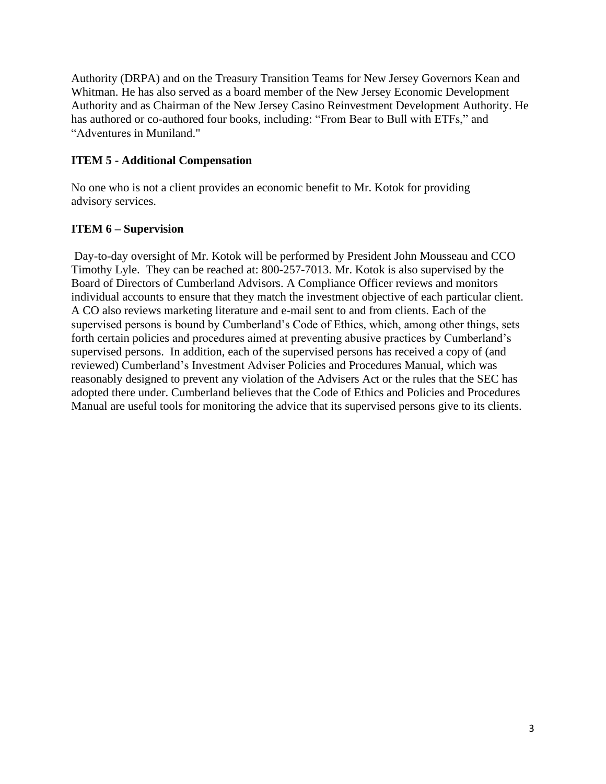Authority (DRPA) and on the Treasury Transition Teams for New Jersey Governors Kean and Whitman. He has also served as a board member of the New Jersey Economic Development Authority and as Chairman of the New Jersey Casino Reinvestment Development Authority. He has authored or co-authored four books, including: "From Bear to Bull with ETFs," and "Adventures in Muniland."

## **ITEM 5 - Additional Compensation**

No one who is not a client provides an economic benefit to Mr. Kotok for providing advisory services.

## **ITEM 6 – Supervision**

Day-to-day oversight of Mr. Kotok will be performed by President John Mousseau and CCO Timothy Lyle. They can be reached at: 800-257-7013. Mr. Kotok is also supervised by the Board of Directors of Cumberland Advisors. A Compliance Officer reviews and monitors individual accounts to ensure that they match the investment objective of each particular client. A CO also reviews marketing literature and e-mail sent to and from clients. Each of the supervised persons is bound by Cumberland's Code of Ethics, which, among other things, sets forth certain policies and procedures aimed at preventing abusive practices by Cumberland's supervised persons. In addition, each of the supervised persons has received a copy of (and reviewed) Cumberland's Investment Adviser Policies and Procedures Manual, which was reasonably designed to prevent any violation of the Advisers Act or the rules that the SEC has adopted there under. Cumberland believes that the Code of Ethics and Policies and Procedures Manual are useful tools for monitoring the advice that its supervised persons give to its clients.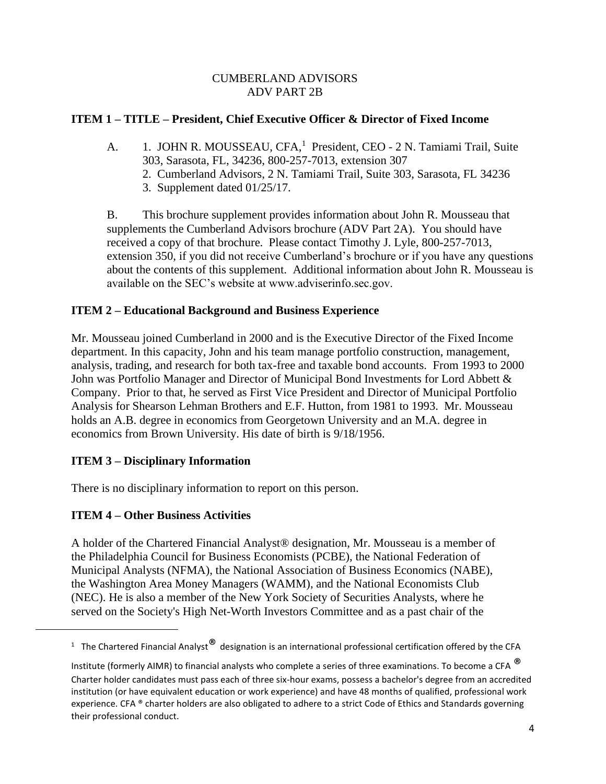## **ITEM 1 – TITLE – President, Chief Executive Officer & Director of Fixed Income**

- A. 1. JOHN R. MOUSSEAU, CFA,<sup>1</sup> President, CEO 2 N. Tamiami Trail, Suite 303, Sarasota, FL, 34236, 800-257-7013, extension 307
	- 2. Cumberland Advisors, 2 N. Tamiami Trail, Suite 303, Sarasota, FL 34236
	- 3. Supplement dated 01/25/17.

B. This brochure supplement provides information about John R. Mousseau that supplements the Cumberland Advisors brochure (ADV Part 2A). You should have received a copy of that brochure. Please contact Timothy J. Lyle, 800-257-7013, extension 350, if you did not receive Cumberland's brochure or if you have any questions about the contents of this supplement. Additional information about John R. Mousseau is available on the SEC's website at www.adviserinfo.sec.gov.

## **ITEM 2 – Educational Background and Business Experience**

Mr. Mousseau joined Cumberland in 2000 and is the Executive Director of the Fixed Income department. In this capacity, John and his team manage portfolio construction, management, analysis, trading, and research for both tax-free and taxable bond accounts. From 1993 to 2000 John was Portfolio Manager and Director of Municipal Bond Investments for Lord Abbett & Company. Prior to that, he served as First Vice President and Director of Municipal Portfolio Analysis for Shearson Lehman Brothers and E.F. Hutton, from 1981 to 1993. Mr. Mousseau holds an A.B. degree in economics from Georgetown University and an M.A. degree in economics from Brown University. His date of birth is 9/18/1956.

## **ITEM 3 – Disciplinary Information**

There is no disciplinary information to report on this person.

## **ITEM 4 – Other Business Activities**

A holder of the Chartered Financial Analyst® designation, Mr. Mousseau is a member of the Philadelphia Council for Business Economists (PCBE), the National Federation of Municipal Analysts (NFMA), the National Association of Business Economics (NABE), the Washington Area Money Managers (WAMM), and the National Economists Club (NEC). He is also a member of the New York Society of Securities Analysts, where he served on the Society's High Net-Worth Investors Committee and as a past chair of the

<sup>&</sup>lt;sup>1</sup> The Chartered Financial Analyst $^\circledR$  designation is an international professional certification offered by the CFA

Institute (formerly AIMR) to financial analysts who complete a series of three examinations. To become a CFA  $^{\circledR}$ Charter holder candidates must pass each of three six-hour exams, possess a bachelor's degree from an accredited institution (or have equivalent education or work experience) and have 48 months of qualified, professional work experience. CFA ® charter holders are also obligated to adhere to a strict Code of Ethics and Standards governing their professional conduct.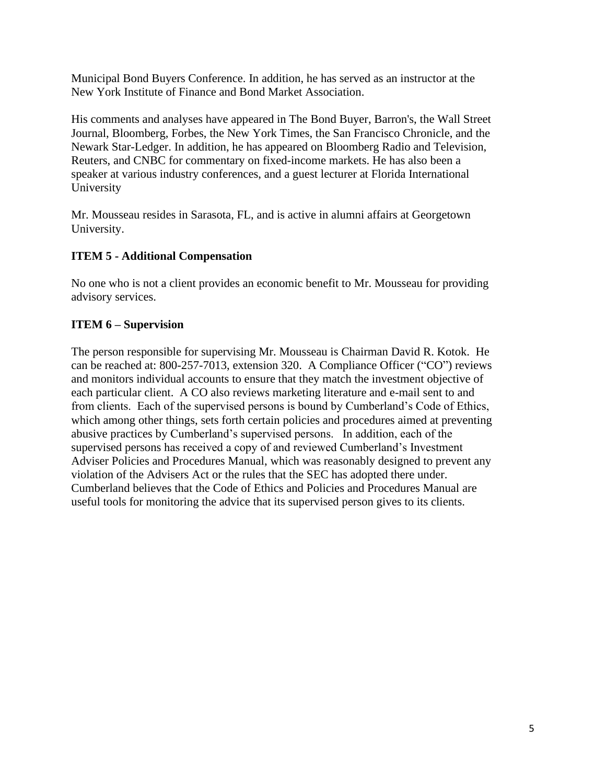Municipal Bond Buyers Conference. In addition, he has served as an instructor at the New York Institute of Finance and Bond Market Association.

His comments and analyses have appeared in The Bond Buyer, Barron's, the Wall Street Journal, Bloomberg, Forbes, the New York Times, the San Francisco Chronicle, and the Newark Star-Ledger. In addition, he has appeared on Bloomberg Radio and Television, Reuters, and CNBC for commentary on fixed-income markets. He has also been a speaker at various industry conferences, and a guest lecturer at Florida International University

Mr. Mousseau resides in Sarasota, FL, and is active in alumni affairs at Georgetown University.

## **ITEM 5 - Additional Compensation**

No one who is not a client provides an economic benefit to Mr. Mousseau for providing advisory services.

### **ITEM 6 – Supervision**

The person responsible for supervising Mr. Mousseau is Chairman David R. Kotok. He can be reached at: 800-257-7013, extension 320. A Compliance Officer ("CO") reviews and monitors individual accounts to ensure that they match the investment objective of each particular client. A CO also reviews marketing literature and e-mail sent to and from clients. Each of the supervised persons is bound by Cumberland's Code of Ethics, which among other things, sets forth certain policies and procedures aimed at preventing abusive practices by Cumberland's supervised persons. In addition, each of the supervised persons has received a copy of and reviewed Cumberland's Investment Adviser Policies and Procedures Manual, which was reasonably designed to prevent any violation of the Advisers Act or the rules that the SEC has adopted there under. Cumberland believes that the Code of Ethics and Policies and Procedures Manual are useful tools for monitoring the advice that its supervised person gives to its clients.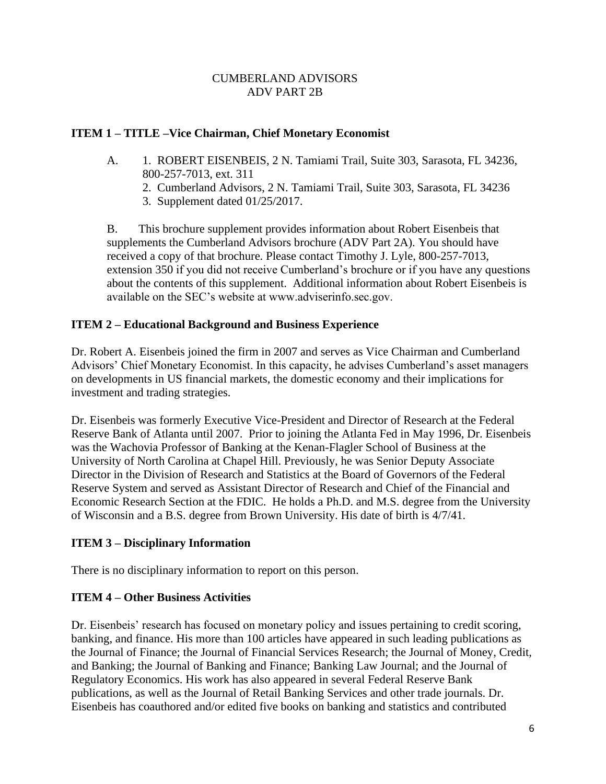## **ITEM 1 – TITLE –Vice Chairman, Chief Monetary Economist**

- A. 1. ROBERT EISENBEIS, 2 N. Tamiami Trail, Suite 303, Sarasota, FL 34236, 800-257-7013, ext. 311
	- 2. Cumberland Advisors, 2 N. Tamiami Trail, Suite 303, Sarasota, FL 34236
	- 3. Supplement dated 01/25/2017.

B. This brochure supplement provides information about Robert Eisenbeis that supplements the Cumberland Advisors brochure (ADV Part 2A). You should have received a copy of that brochure. Please contact Timothy J. Lyle, 800-257-7013, extension 350 if you did not receive Cumberland's brochure or if you have any questions about the contents of this supplement. Additional information about Robert Eisenbeis is available on the SEC's website at www.adviserinfo.sec.gov.

## **ITEM 2 – Educational Background and Business Experience**

Dr. Robert A. Eisenbeis joined the firm in 2007 and serves as Vice Chairman and Cumberland Advisors' Chief Monetary Economist. In this capacity, he advises Cumberland's asset managers on developments in US financial markets, the domestic economy and their implications for investment and trading strategies.

Dr. Eisenbeis was formerly Executive Vice-President and Director of Research at the Federal Reserve Bank of Atlanta until 2007. Prior to joining the Atlanta Fed in May 1996, Dr. Eisenbeis was the Wachovia Professor of Banking at the Kenan-Flagler School of Business at the University of North Carolina at Chapel Hill. Previously, he was Senior Deputy Associate Director in the Division of Research and Statistics at the Board of Governors of the Federal Reserve System and served as Assistant Director of Research and Chief of the Financial and Economic Research Section at the FDIC. He holds a Ph.D. and M.S. degree from the University of Wisconsin and a B.S. degree from Brown University. His date of birth is 4/7/41.

## **ITEM 3 – Disciplinary Information**

There is no disciplinary information to report on this person.

## **ITEM 4 – Other Business Activities**

Dr. Eisenbeis' research has focused on monetary policy and issues pertaining to credit scoring, banking, and finance. His more than 100 articles have appeared in such leading publications as the Journal of Finance; the Journal of Financial Services Research; the Journal of Money, Credit, and Banking; the Journal of Banking and Finance; Banking Law Journal; and the Journal of Regulatory Economics. His work has also appeared in several Federal Reserve Bank publications, as well as the Journal of Retail Banking Services and other trade journals. Dr. Eisenbeis has coauthored and/or edited five books on banking and statistics and contributed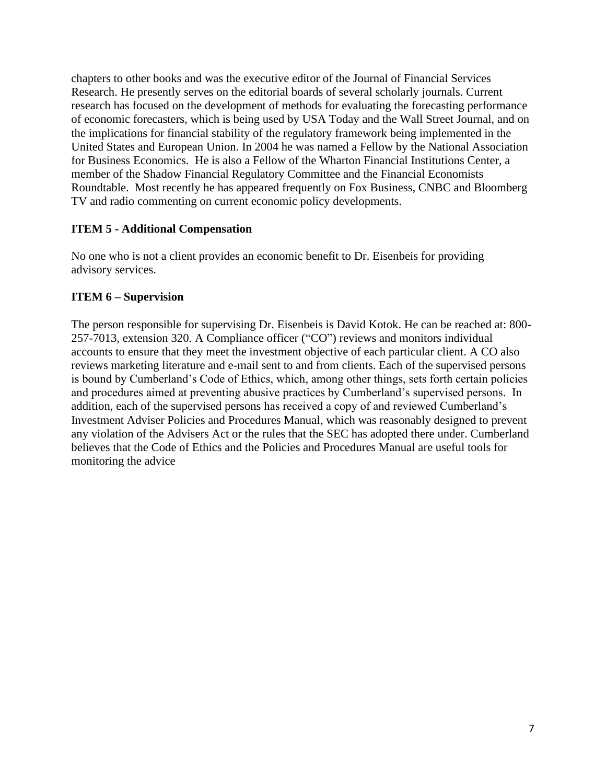chapters to other books and was the executive editor of the Journal of Financial Services Research. He presently serves on the editorial boards of several scholarly journals. Current research has focused on the development of methods for evaluating the forecasting performance of economic forecasters, which is being used by USA Today and the Wall Street Journal, and on the implications for financial stability of the regulatory framework being implemented in the United States and European Union. In 2004 he was named a Fellow by the National Association for Business Economics. He is also a Fellow of the Wharton Financial Institutions Center, a member of the Shadow Financial Regulatory Committee and the Financial Economists Roundtable. Most recently he has appeared frequently on Fox Business, CNBC and Bloomberg TV and radio commenting on current economic policy developments.

## **ITEM 5 - Additional Compensation**

No one who is not a client provides an economic benefit to Dr. Eisenbeis for providing advisory services.

## **ITEM 6 – Supervision**

The person responsible for supervising Dr. Eisenbeis is David Kotok. He can be reached at: 800- 257-7013, extension 320. A Compliance officer ("CO") reviews and monitors individual accounts to ensure that they meet the investment objective of each particular client. A CO also reviews marketing literature and e-mail sent to and from clients. Each of the supervised persons is bound by Cumberland's Code of Ethics, which, among other things, sets forth certain policies and procedures aimed at preventing abusive practices by Cumberland's supervised persons. In addition, each of the supervised persons has received a copy of and reviewed Cumberland's Investment Adviser Policies and Procedures Manual, which was reasonably designed to prevent any violation of the Advisers Act or the rules that the SEC has adopted there under. Cumberland believes that the Code of Ethics and the Policies and Procedures Manual are useful tools for monitoring the advice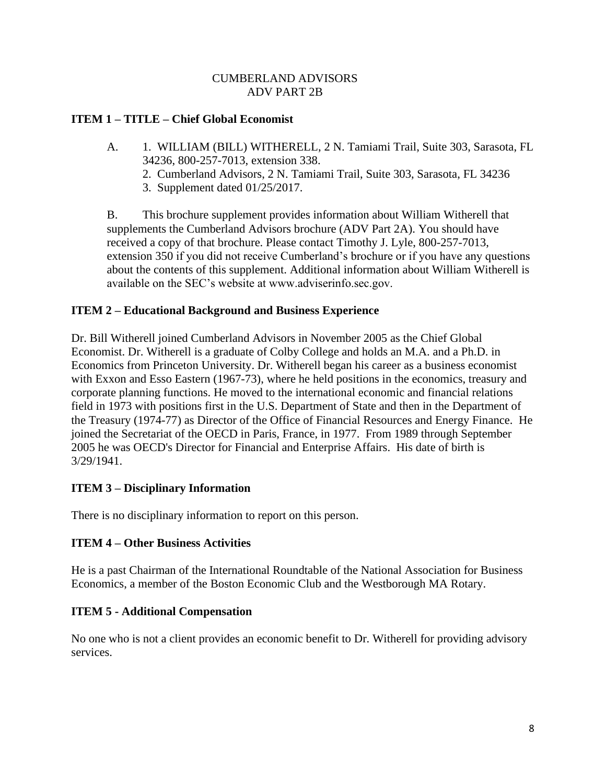## **ITEM 1 – TITLE – Chief Global Economist**

- A. 1. WILLIAM (BILL) WITHERELL, 2 N. Tamiami Trail, Suite 303, Sarasota, FL 34236, 800-257-7013, extension 338.
	- 2. Cumberland Advisors, 2 N. Tamiami Trail, Suite 303, Sarasota, FL 34236
	- 3. Supplement dated 01/25/2017.

B. This brochure supplement provides information about William Witherell that supplements the Cumberland Advisors brochure (ADV Part 2A). You should have received a copy of that brochure. Please contact Timothy J. Lyle, 800-257-7013, extension 350 if you did not receive Cumberland's brochure or if you have any questions about the contents of this supplement. Additional information about William Witherell is available on the SEC's website at www.adviserinfo.sec.gov.

## **ITEM 2 – Educational Background and Business Experience**

Dr. Bill Witherell joined Cumberland Advisors in November 2005 as the Chief Global Economist. Dr. Witherell is a graduate of Colby College and holds an M.A. and a Ph.D. in Economics from Princeton University. Dr. Witherell began his career as a business economist with Exxon and Esso Eastern (1967-73), where he held positions in the economics, treasury and corporate planning functions. He moved to the international economic and financial relations field in 1973 with positions first in the U.S. Department of State and then in the Department of the Treasury (1974-77) as Director of the Office of Financial Resources and Energy Finance. He joined the Secretariat of the OECD in Paris, France, in 1977. From 1989 through September 2005 he was OECD's Director for Financial and Enterprise Affairs. His date of birth is 3/29/1941.

## **ITEM 3 – Disciplinary Information**

There is no disciplinary information to report on this person.

## **ITEM 4 – Other Business Activities**

He is a past Chairman of the International Roundtable of the National Association for Business Economics, a member of the Boston Economic Club and the Westborough MA Rotary.

## **ITEM 5 - Additional Compensation**

No one who is not a client provides an economic benefit to Dr. Witherell for providing advisory services.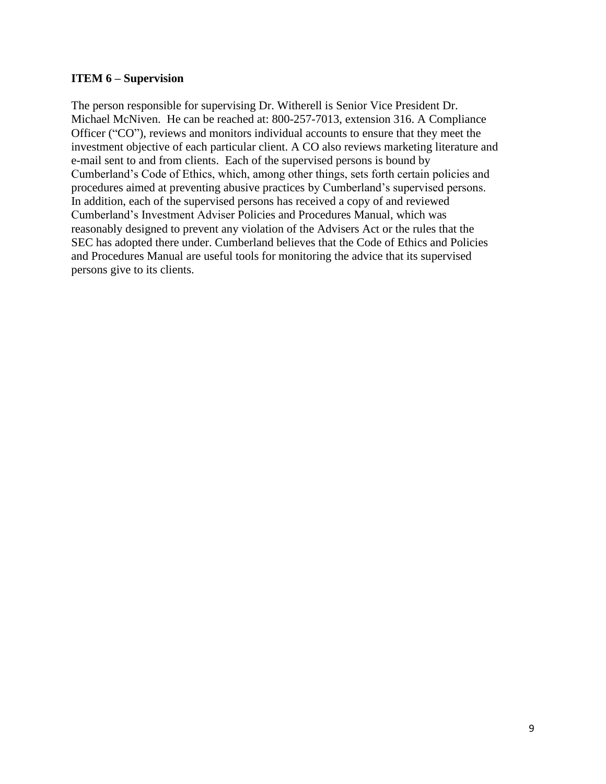#### **ITEM 6 – Supervision**

The person responsible for supervising Dr. Witherell is Senior Vice President Dr. Michael McNiven. He can be reached at: 800-257-7013, extension 316. A Compliance Officer ("CO"), reviews and monitors individual accounts to ensure that they meet the investment objective of each particular client. A CO also reviews marketing literature and e-mail sent to and from clients. Each of the supervised persons is bound by Cumberland's Code of Ethics, which, among other things, sets forth certain policies and procedures aimed at preventing abusive practices by Cumberland's supervised persons. In addition, each of the supervised persons has received a copy of and reviewed Cumberland's Investment Adviser Policies and Procedures Manual, which was reasonably designed to prevent any violation of the Advisers Act or the rules that the SEC has adopted there under. Cumberland believes that the Code of Ethics and Policies and Procedures Manual are useful tools for monitoring the advice that its supervised persons give to its clients.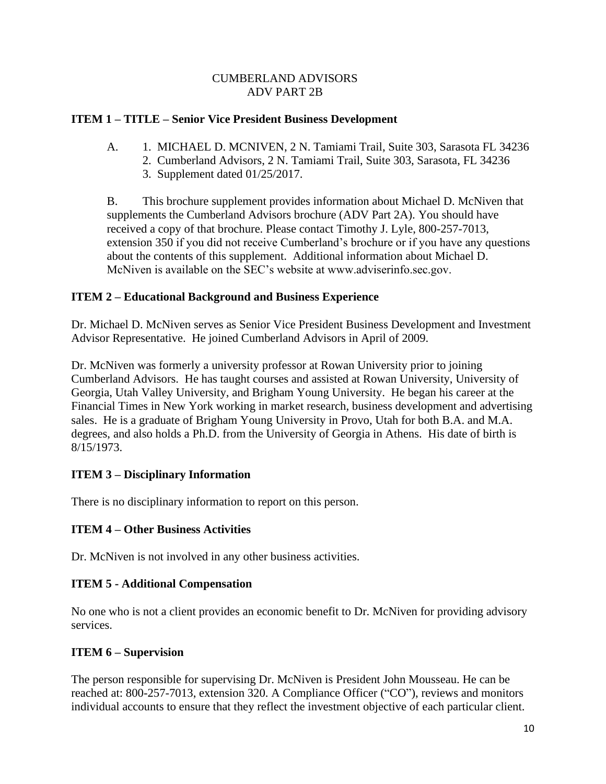### **ITEM 1 – TITLE – Senior Vice President Business Development**

- A. 1. MICHAEL D. MCNIVEN, 2 N. Tamiami Trail, Suite 303, Sarasota FL 34236
	- 2. Cumberland Advisors, 2 N. Tamiami Trail, Suite 303, Sarasota, FL 34236
	- 3. Supplement dated 01/25/2017.

B. This brochure supplement provides information about Michael D. McNiven that supplements the Cumberland Advisors brochure (ADV Part 2A). You should have received a copy of that brochure. Please contact Timothy J. Lyle, 800-257-7013, extension 350 if you did not receive Cumberland's brochure or if you have any questions about the contents of this supplement. Additional information about Michael D. McNiven is available on the SEC's website at www.adviserinfo.sec.gov.

## **ITEM 2 – Educational Background and Business Experience**

Dr. Michael D. McNiven serves as Senior Vice President Business Development and Investment Advisor Representative. He joined Cumberland Advisors in April of 2009.

Dr. McNiven was formerly a university professor at Rowan University prior to joining Cumberland Advisors. He has taught courses and assisted at Rowan University, University of Georgia, Utah Valley University, and Brigham Young University. He began his career at the Financial Times in New York working in market research, business development and advertising sales. He is a graduate of Brigham Young University in Provo, Utah for both B.A. and M.A. degrees, and also holds a Ph.D. from the University of Georgia in Athens. His date of birth is 8/15/1973.

## **ITEM 3 – Disciplinary Information**

There is no disciplinary information to report on this person.

## **ITEM 4 – Other Business Activities**

Dr. McNiven is not involved in any other business activities.

## **ITEM 5 - Additional Compensation**

No one who is not a client provides an economic benefit to Dr. McNiven for providing advisory services.

## **ITEM 6 – Supervision**

The person responsible for supervising Dr. McNiven is President John Mousseau. He can be reached at: 800-257-7013, extension 320. A Compliance Officer ("CO"), reviews and monitors individual accounts to ensure that they reflect the investment objective of each particular client.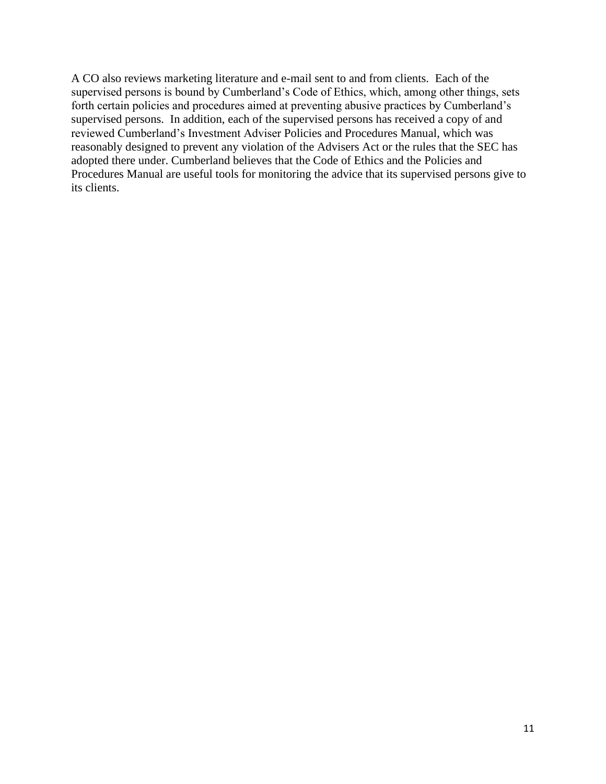A CO also reviews marketing literature and e-mail sent to and from clients. Each of the supervised persons is bound by Cumberland's Code of Ethics, which, among other things, sets forth certain policies and procedures aimed at preventing abusive practices by Cumberland's supervised persons. In addition, each of the supervised persons has received a copy of and reviewed Cumberland's Investment Adviser Policies and Procedures Manual, which was reasonably designed to prevent any violation of the Advisers Act or the rules that the SEC has adopted there under. Cumberland believes that the Code of Ethics and the Policies and Procedures Manual are useful tools for monitoring the advice that its supervised persons give to its clients.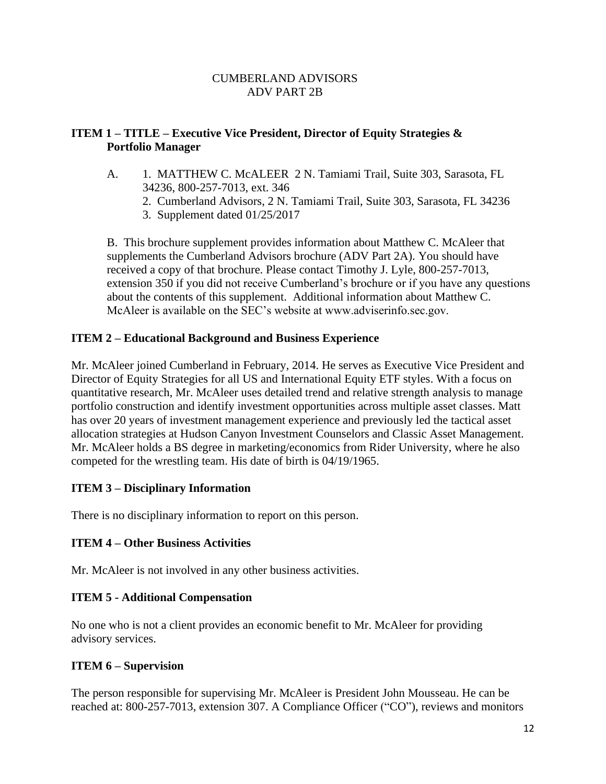## **ITEM 1 – TITLE – Executive Vice President, Director of Equity Strategies & Portfolio Manager**

- A. 1. MATTHEW C. McALEER 2 N. Tamiami Trail, Suite 303, Sarasota, FL 34236, 800-257-7013, ext. 346
	- 2. Cumberland Advisors, 2 N. Tamiami Trail, Suite 303, Sarasota, FL 34236
	- 3. Supplement dated 01/25/2017

B. This brochure supplement provides information about Matthew C. McAleer that supplements the Cumberland Advisors brochure (ADV Part 2A). You should have received a copy of that brochure. Please contact Timothy J. Lyle, 800-257-7013, extension 350 if you did not receive Cumberland's brochure or if you have any questions about the contents of this supplement. Additional information about Matthew C. McAleer is available on the SEC's website at www.adviserinfo.sec.gov.

### **ITEM 2 – Educational Background and Business Experience**

Mr. McAleer joined Cumberland in February, 2014. He serves as Executive Vice President and Director of Equity Strategies for all US and International Equity ETF styles. With a focus on quantitative research, Mr. McAleer uses detailed trend and relative strength analysis to manage portfolio construction and identify investment opportunities across multiple asset classes. Matt has over 20 years of investment management experience and previously led the tactical asset allocation strategies at Hudson Canyon Investment Counselors and Classic Asset Management. Mr. McAleer holds a BS degree in marketing/economics from Rider University, where he also competed for the wrestling team. His date of birth is 04/19/1965.

## **ITEM 3 – Disciplinary Information**

There is no disciplinary information to report on this person.

#### **ITEM 4 – Other Business Activities**

Mr. McAleer is not involved in any other business activities.

#### **ITEM 5 - Additional Compensation**

No one who is not a client provides an economic benefit to Mr. McAleer for providing advisory services.

#### **ITEM 6 – Supervision**

The person responsible for supervising Mr. McAleer is President John Mousseau. He can be reached at: 800-257-7013, extension 307. A Compliance Officer ("CO"), reviews and monitors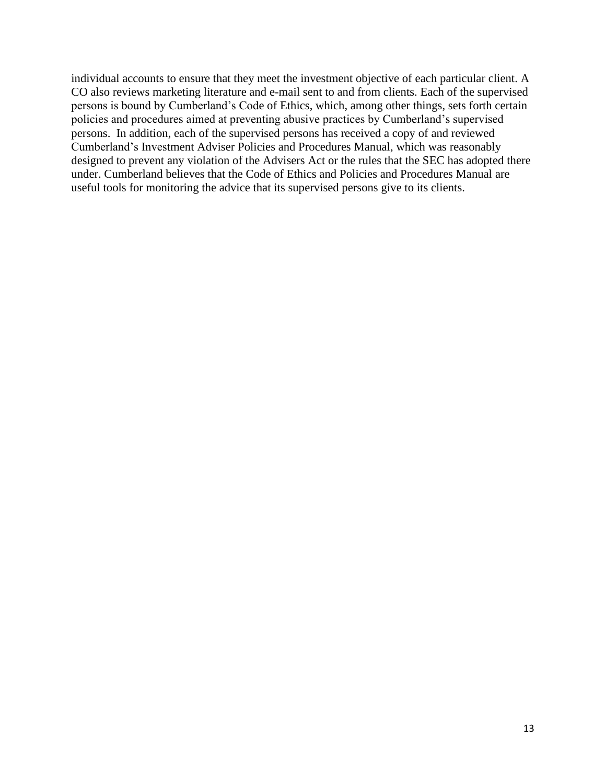individual accounts to ensure that they meet the investment objective of each particular client. A CO also reviews marketing literature and e-mail sent to and from clients. Each of the supervised persons is bound by Cumberland's Code of Ethics, which, among other things, sets forth certain policies and procedures aimed at preventing abusive practices by Cumberland's supervised persons. In addition, each of the supervised persons has received a copy of and reviewed Cumberland's Investment Adviser Policies and Procedures Manual, which was reasonably designed to prevent any violation of the Advisers Act or the rules that the SEC has adopted there under. Cumberland believes that the Code of Ethics and Policies and Procedures Manual are useful tools for monitoring the advice that its supervised persons give to its clients.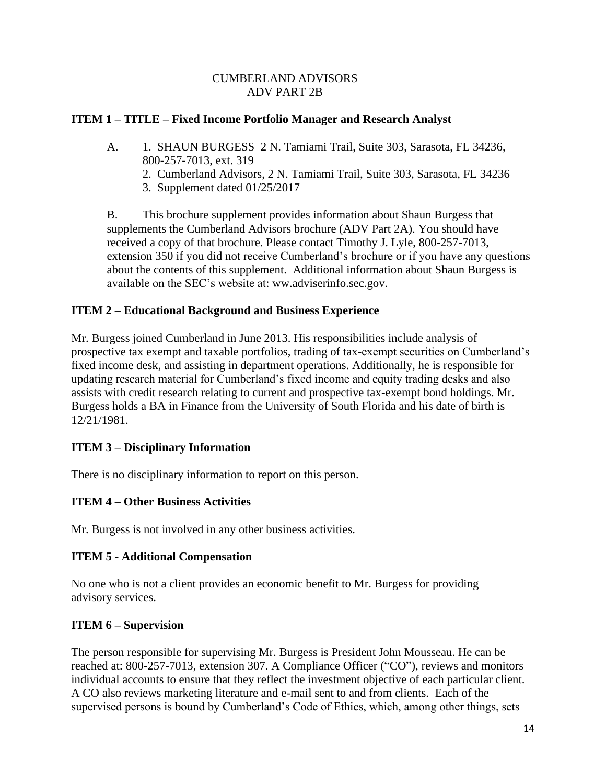### **ITEM 1 – TITLE – Fixed Income Portfolio Manager and Research Analyst**

- A. 1. SHAUN BURGESS 2 N. Tamiami Trail, Suite 303, Sarasota, FL 34236, 800-257-7013, ext. 319
	- 2. Cumberland Advisors, 2 N. Tamiami Trail, Suite 303, Sarasota, FL 34236
	- 3. Supplement dated 01/25/2017

B. This brochure supplement provides information about Shaun Burgess that supplements the Cumberland Advisors brochure (ADV Part 2A). You should have received a copy of that brochure. Please contact Timothy J. Lyle, 800-257-7013, extension 350 if you did not receive Cumberland's brochure or if you have any questions about the contents of this supplement. Additional information about Shaun Burgess is available on the SEC's website at: ww.adviserinfo.sec.gov.

### **ITEM 2 – Educational Background and Business Experience**

Mr. Burgess joined Cumberland in June 2013. His responsibilities include analysis of prospective tax exempt and taxable portfolios, trading of tax-exempt securities on Cumberland's fixed income desk, and assisting in department operations. Additionally, he is responsible for updating research material for Cumberland's fixed income and equity trading desks and also assists with credit research relating to current and prospective tax-exempt bond holdings. Mr. Burgess holds a BA in Finance from the University of South Florida and his date of birth is 12/21/1981.

#### **ITEM 3 – Disciplinary Information**

There is no disciplinary information to report on this person.

## **ITEM 4 – Other Business Activities**

Mr. Burgess is not involved in any other business activities.

#### **ITEM 5 - Additional Compensation**

No one who is not a client provides an economic benefit to Mr. Burgess for providing advisory services.

#### **ITEM 6 – Supervision**

The person responsible for supervising Mr. Burgess is President John Mousseau. He can be reached at: 800-257-7013, extension 307. A Compliance Officer ("CO"), reviews and monitors individual accounts to ensure that they reflect the investment objective of each particular client. A CO also reviews marketing literature and e-mail sent to and from clients. Each of the supervised persons is bound by Cumberland's Code of Ethics, which, among other things, sets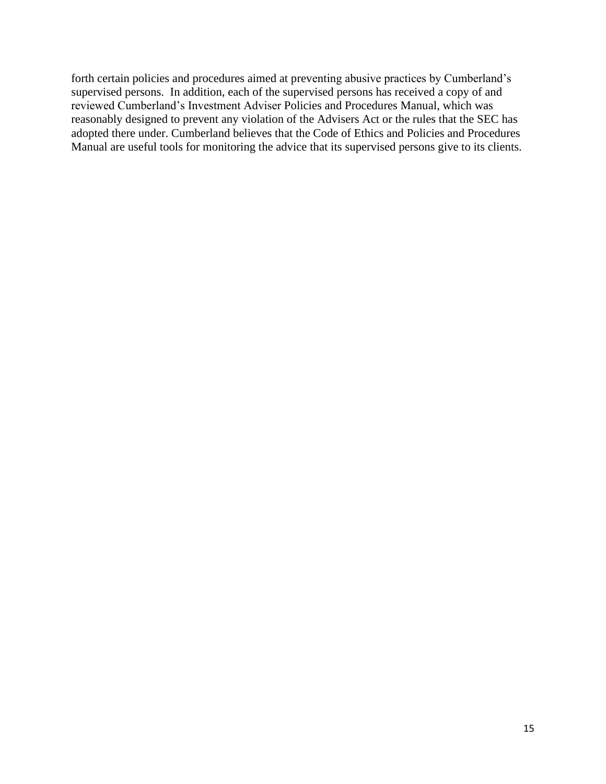forth certain policies and procedures aimed at preventing abusive practices by Cumberland's supervised persons. In addition, each of the supervised persons has received a copy of and reviewed Cumberland's Investment Adviser Policies and Procedures Manual, which was reasonably designed to prevent any violation of the Advisers Act or the rules that the SEC has adopted there under. Cumberland believes that the Code of Ethics and Policies and Procedures Manual are useful tools for monitoring the advice that its supervised persons give to its clients.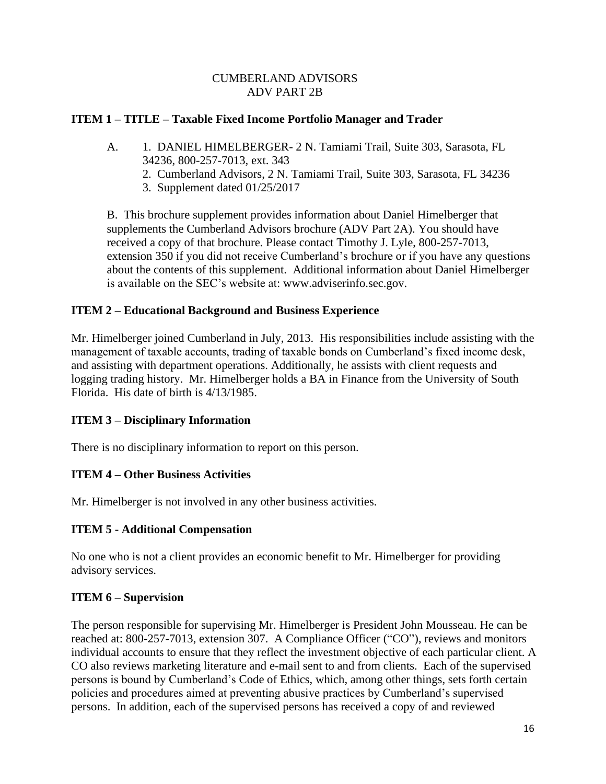## **ITEM 1 – TITLE – Taxable Fixed Income Portfolio Manager and Trader**

- A. 1. DANIEL HIMELBERGER- 2 N. Tamiami Trail, Suite 303, Sarasota, FL 34236, 800-257-7013, ext. 343
	- 2. Cumberland Advisors, 2 N. Tamiami Trail, Suite 303, Sarasota, FL 34236
	- 3. Supplement dated 01/25/2017

B. This brochure supplement provides information about Daniel Himelberger that supplements the Cumberland Advisors brochure (ADV Part 2A). You should have received a copy of that brochure. Please contact Timothy J. Lyle, 800-257-7013, extension 350 if you did not receive Cumberland's brochure or if you have any questions about the contents of this supplement. Additional information about Daniel Himelberger is available on the SEC's website at: www.adviserinfo.sec.gov.

### **ITEM 2 – Educational Background and Business Experience**

Mr. Himelberger joined Cumberland in July, 2013. His responsibilities include assisting with the management of taxable accounts, trading of taxable bonds on Cumberland's fixed income desk, and assisting with department operations. Additionally, he assists with client requests and logging trading history. Mr. Himelberger holds a BA in Finance from the University of South Florida. His date of birth is 4/13/1985.

#### **ITEM 3 – Disciplinary Information**

There is no disciplinary information to report on this person.

#### **ITEM 4 – Other Business Activities**

Mr. Himelberger is not involved in any other business activities.

#### **ITEM 5 - Additional Compensation**

No one who is not a client provides an economic benefit to Mr. Himelberger for providing advisory services.

#### **ITEM 6 – Supervision**

The person responsible for supervising Mr. Himelberger is President John Mousseau. He can be reached at: 800-257-7013, extension 307. A Compliance Officer ("CO"), reviews and monitors individual accounts to ensure that they reflect the investment objective of each particular client. A CO also reviews marketing literature and e-mail sent to and from clients. Each of the supervised persons is bound by Cumberland's Code of Ethics, which, among other things, sets forth certain policies and procedures aimed at preventing abusive practices by Cumberland's supervised persons. In addition, each of the supervised persons has received a copy of and reviewed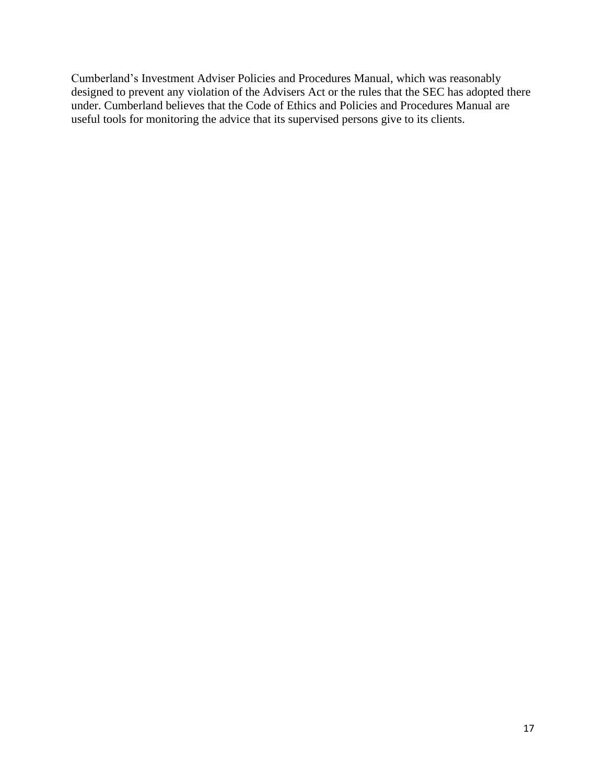Cumberland's Investment Adviser Policies and Procedures Manual, which was reasonably designed to prevent any violation of the Advisers Act or the rules that the SEC has adopted there under. Cumberland believes that the Code of Ethics and Policies and Procedures Manual are useful tools for monitoring the advice that its supervised persons give to its clients.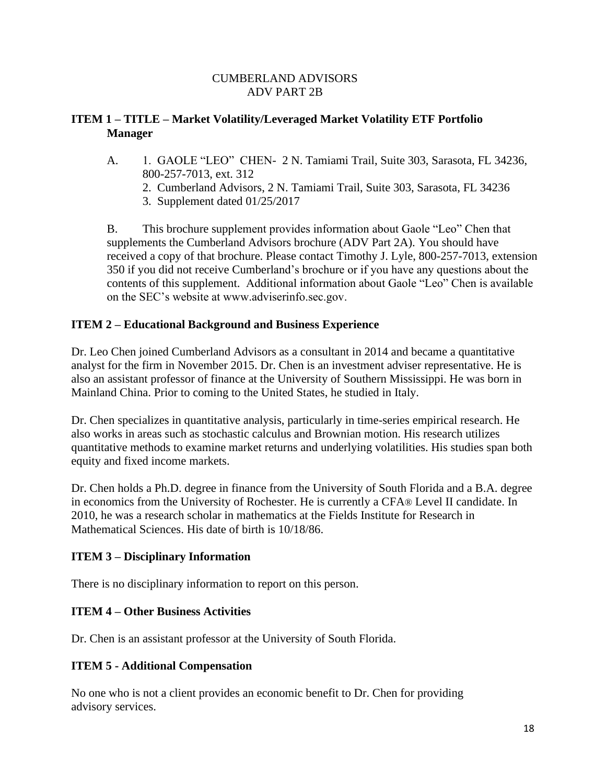## **ITEM 1 – TITLE – Market Volatility/Leveraged Market Volatility ETF Portfolio Manager**

- A. 1. GAOLE "LEO" CHEN- 2 N. Tamiami Trail, Suite 303, Sarasota, FL 34236, 800-257-7013, ext. 312
	- 2. Cumberland Advisors, 2 N. Tamiami Trail, Suite 303, Sarasota, FL 34236
	- 3. Supplement dated 01/25/2017

B. This brochure supplement provides information about Gaole "Leo" Chen that supplements the Cumberland Advisors brochure (ADV Part 2A). You should have received a copy of that brochure. Please contact Timothy J. Lyle, 800-257-7013, extension 350 if you did not receive Cumberland's brochure or if you have any questions about the contents of this supplement. Additional information about Gaole "Leo" Chen is available on the SEC's website at www.adviserinfo.sec.gov.

## **ITEM 2 – Educational Background and Business Experience**

Dr. Leo Chen joined Cumberland Advisors as a consultant in 2014 and became a quantitative analyst for the firm in November 2015. Dr. Chen is an investment adviser representative. He is also an assistant professor of finance at the University of Southern Mississippi. He was born in Mainland China. Prior to coming to the United States, he studied in Italy.

Dr. Chen specializes in quantitative analysis, particularly in time-series empirical research. He also works in areas such as stochastic calculus and Brownian motion. His research utilizes quantitative methods to examine market returns and underlying volatilities. His studies span both equity and fixed income markets.

Dr. Chen holds a Ph.D. degree in finance from the University of South Florida and a B.A. degree in economics from the University of Rochester. He is currently a CFA® Level II candidate. In 2010, he was a research scholar in mathematics at the Fields Institute for Research in Mathematical Sciences. His date of birth is 10/18/86.

#### **ITEM 3 – Disciplinary Information**

There is no disciplinary information to report on this person.

#### **ITEM 4 – Other Business Activities**

Dr. Chen is an assistant professor at the University of South Florida.

#### **ITEM 5 - Additional Compensation**

No one who is not a client provides an economic benefit to Dr. Chen for providing advisory services.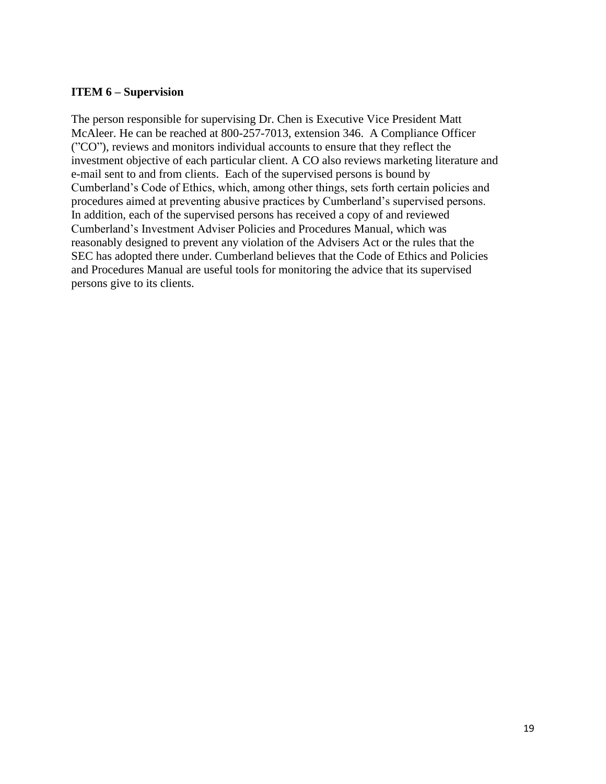#### **ITEM 6 – Supervision**

The person responsible for supervising Dr. Chen is Executive Vice President Matt McAleer. He can be reached at 800-257-7013, extension 346. A Compliance Officer ("CO"), reviews and monitors individual accounts to ensure that they reflect the investment objective of each particular client. A CO also reviews marketing literature and e-mail sent to and from clients. Each of the supervised persons is bound by Cumberland's Code of Ethics, which, among other things, sets forth certain policies and procedures aimed at preventing abusive practices by Cumberland's supervised persons. In addition, each of the supervised persons has received a copy of and reviewed Cumberland's Investment Adviser Policies and Procedures Manual, which was reasonably designed to prevent any violation of the Advisers Act or the rules that the SEC has adopted there under. Cumberland believes that the Code of Ethics and Policies and Procedures Manual are useful tools for monitoring the advice that its supervised persons give to its clients.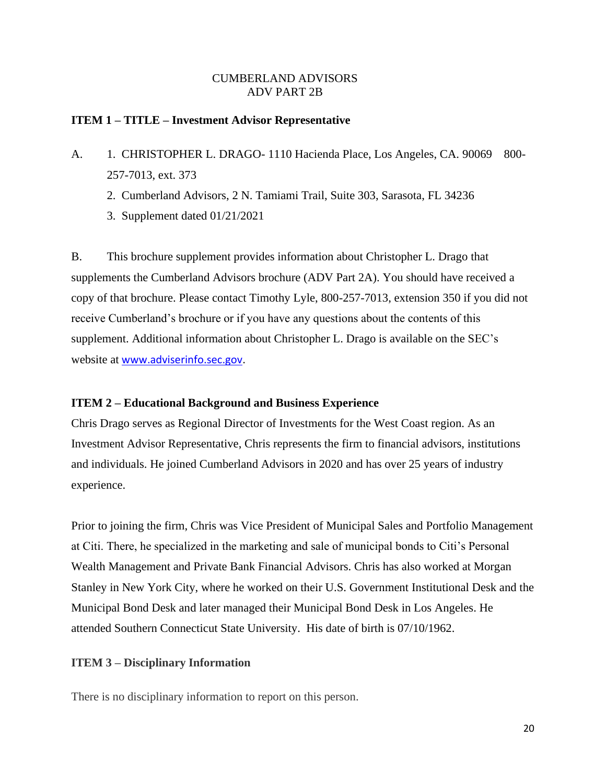#### **ITEM 1 – TITLE – Investment Advisor Representative**

- A. 1. CHRISTOPHER L. DRAGO- 1110 Hacienda Place, Los Angeles, CA. 90069 800-257-7013, ext. 373
	- 2. Cumberland Advisors, 2 N. Tamiami Trail, Suite 303, Sarasota, FL 34236
	- 3. Supplement dated 01/21/2021

B. This brochure supplement provides information about Christopher L. Drago that supplements the Cumberland Advisors brochure (ADV Part 2A). You should have received a copy of that brochure. Please contact Timothy Lyle, 800-257-7013, extension 350 if you did not receive Cumberland's brochure or if you have any questions about the contents of this supplement. Additional information about Christopher L. Drago is available on the SEC's website at **[www.adviserinfo.sec.gov.](http://www.adviserinfo.sec.gov/)** 

#### **ITEM 2 – Educational Background and Business Experience**

Chris Drago serves as Regional Director of Investments for the West Coast region. As an Investment Advisor Representative, Chris represents the firm to financial advisors, institutions and individuals. He joined Cumberland Advisors in 2020 and has over 25 years of industry experience.

Prior to joining the firm, Chris was Vice President of Municipal Sales and Portfolio Management at Citi. There, he specialized in the marketing and sale of municipal bonds to Citi's Personal Wealth Management and Private Bank Financial Advisors. Chris has also worked at Morgan Stanley in New York City, where he worked on their U.S. Government Institutional Desk and the Municipal Bond Desk and later managed their Municipal Bond Desk in Los Angeles. He attended Southern Connecticut State University. His date of birth is 07/10/1962.

#### **ITEM 3 – Disciplinary Information**

There is no disciplinary information to report on this person.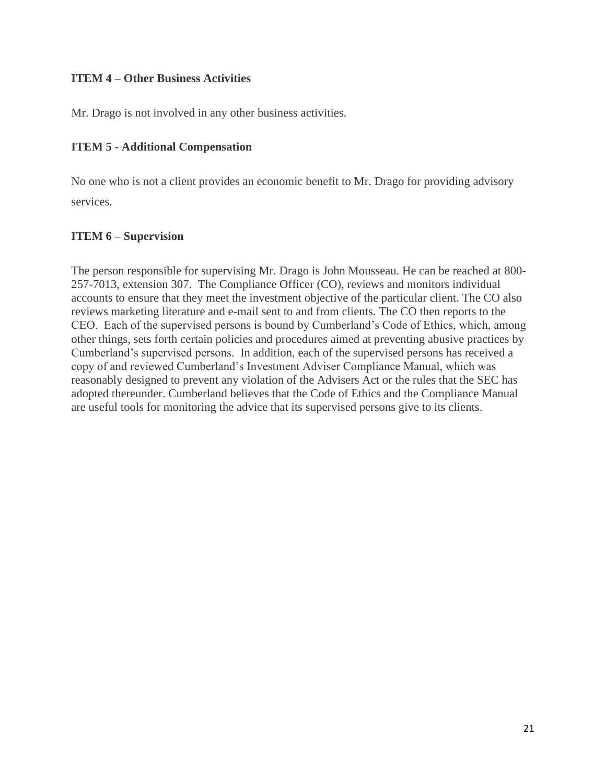### **ITEM 4 – Other Business Activities**

Mr. Drago is not involved in any other business activities.

## **ITEM 5 - Additional Compensation**

No one who is not a client provides an economic benefit to Mr. Drago for providing advisory services.

## **ITEM 6 – Supervision**

The person responsible for supervising Mr. Drago is John Mousseau. He can be reached at 800- 257-7013, extension 307. The Compliance Officer (CO), reviews and monitors individual accounts to ensure that they meet the investment objective of the particular client. The CO also reviews marketing literature and e-mail sent to and from clients. The CO then reports to the CEO. Each of the supervised persons is bound by Cumberland's Code of Ethics, which, among other things, sets forth certain policies and procedures aimed at preventing abusive practices by Cumberland's supervised persons. In addition, each of the supervised persons has received a copy of and reviewed Cumberland's Investment Adviser Compliance Manual, which was reasonably designed to prevent any violation of the Advisers Act or the rules that the SEC has adopted thereunder. Cumberland believes that the Code of Ethics and the Compliance Manual are useful tools for monitoring the advice that its supervised persons give to its clients.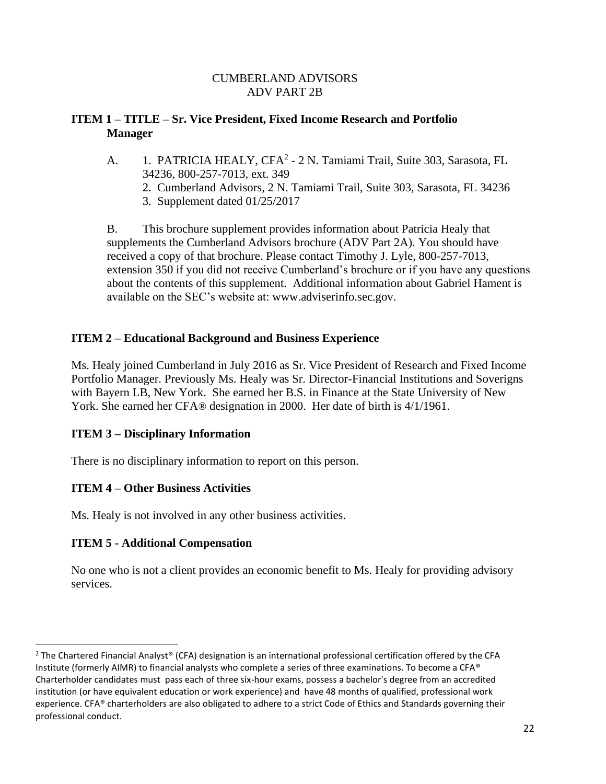## **ITEM 1 – TITLE – Sr. Vice President, Fixed Income Research and Portfolio Manager**

- A. 1. PATRICIA HEALY, CFA<sup>2</sup> 2 N. Tamiami Trail, Suite 303, Sarasota, FL 34236, 800-257-7013, ext. 349
	- 2. Cumberland Advisors, 2 N. Tamiami Trail, Suite 303, Sarasota, FL 34236
	- 3. Supplement dated 01/25/2017

B. This brochure supplement provides information about Patricia Healy that supplements the Cumberland Advisors brochure (ADV Part 2A). You should have received a copy of that brochure. Please contact Timothy J. Lyle, 800-257-7013, extension 350 if you did not receive Cumberland's brochure or if you have any questions about the contents of this supplement. Additional information about Gabriel Hament is available on the SEC's website at: www.adviserinfo.sec.gov.

## **ITEM 2 – Educational Background and Business Experience**

Ms. Healy joined Cumberland in July 2016 as Sr. Vice President of Research and Fixed Income Portfolio Manager. Previously Ms. Healy was Sr. Director-Financial Institutions and Soverigns with Bayern LB, New York. She earned her B.S. in Finance at the State University of New York. She earned her CFA® designation in 2000. Her date of birth is 4/1/1961.

## **ITEM 3 – Disciplinary Information**

There is no disciplinary information to report on this person.

## **ITEM 4 – Other Business Activities**

Ms. Healy is not involved in any other business activities.

## **ITEM 5 - Additional Compensation**

No one who is not a client provides an economic benefit to Ms. Healy for providing advisory services.

<sup>&</sup>lt;sup>2</sup> The Chartered Financial Analyst® (CFA) designation is an international professional certification offered by the CFA Institute (formerly AIMR) to financial analysts who complete a series of three examinations. To become a CFA® Charterholder candidates must pass each of three six-hour exams, possess a bachelor's degree from an accredited institution (or have equivalent education or work experience) and have 48 months of qualified, professional work experience. CFA® charterholders are also obligated to adhere to a strict Code of Ethics and Standards governing their professional conduct.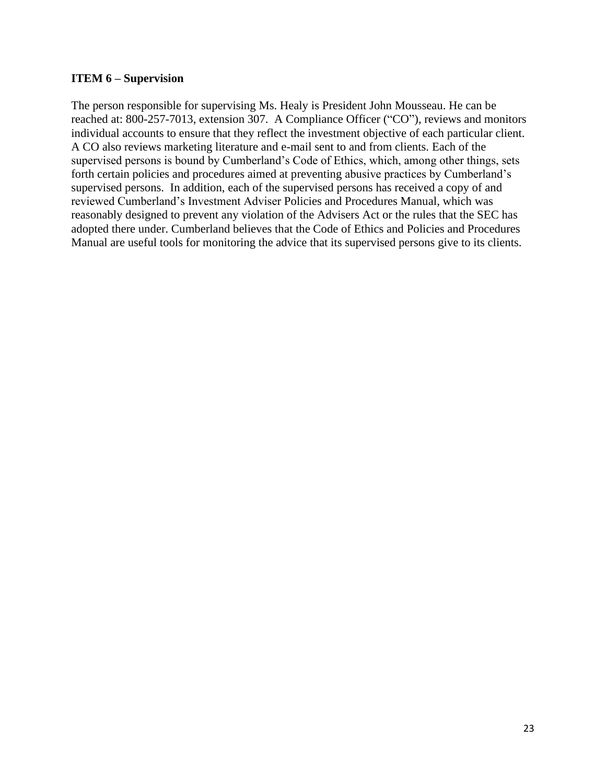#### **ITEM 6 – Supervision**

The person responsible for supervising Ms. Healy is President John Mousseau. He can be reached at: 800-257-7013, extension 307. A Compliance Officer ("CO"), reviews and monitors individual accounts to ensure that they reflect the investment objective of each particular client. A CO also reviews marketing literature and e-mail sent to and from clients. Each of the supervised persons is bound by Cumberland's Code of Ethics, which, among other things, sets forth certain policies and procedures aimed at preventing abusive practices by Cumberland's supervised persons. In addition, each of the supervised persons has received a copy of and reviewed Cumberland's Investment Adviser Policies and Procedures Manual, which was reasonably designed to prevent any violation of the Advisers Act or the rules that the SEC has adopted there under. Cumberland believes that the Code of Ethics and Policies and Procedures Manual are useful tools for monitoring the advice that its supervised persons give to its clients.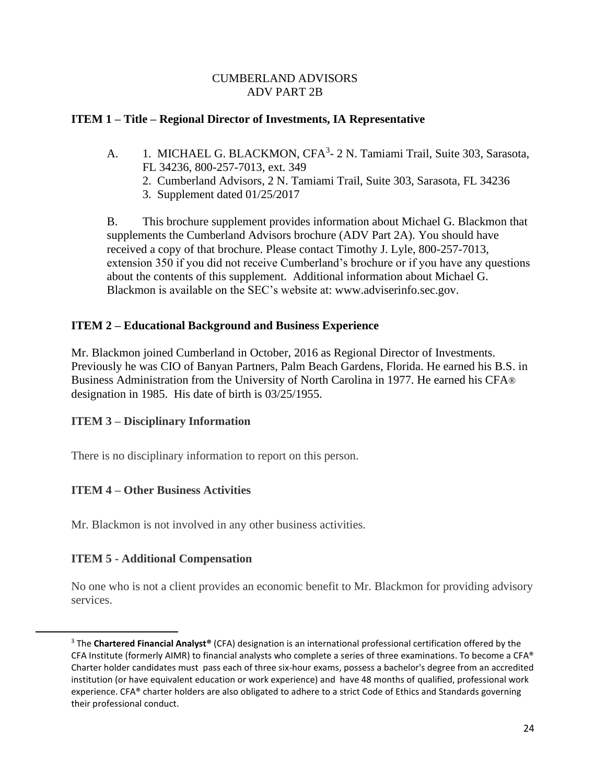### **ITEM 1 – Title – Regional Director of Investments, IA Representative**

- A. 1. MICHAEL G. BLACKMON, CFA<sup>3</sup>- 2 N. Tamiami Trail, Suite 303, Sarasota, FL 34236, 800-257-7013, ext. 349
	- 2. Cumberland Advisors, 2 N. Tamiami Trail, Suite 303, Sarasota, FL 34236
	- 3. Supplement dated 01/25/2017

B. This brochure supplement provides information about Michael G. Blackmon that supplements the Cumberland Advisors brochure (ADV Part 2A). You should have received a copy of that brochure. Please contact Timothy J. Lyle, 800-257-7013, extension 350 if you did not receive Cumberland's brochure or if you have any questions about the contents of this supplement. Additional information about Michael G. Blackmon is available on the SEC's website at: [www.adviserinfo.sec.gov.](http://www.adviserinfo.sec.gov/)

### **ITEM 2 – Educational Background and Business Experience**

Mr. Blackmon joined Cumberland in October, 2016 as Regional Director of Investments. Previously he was CIO of Banyan Partners, Palm Beach Gardens, Florida. He earned his B.S. in Business Administration from the University of North Carolina in 1977. He earned his CFA® designation in 1985. His date of birth is 03/25/1955.

## **ITEM 3 – Disciplinary Information**

There is no disciplinary information to report on this person.

## **ITEM 4 – Other Business Activities**

Mr. Blackmon is not involved in any other business activities.

#### **ITEM 5 - Additional Compensation**

No one who is not a client provides an economic benefit to Mr. Blackmon for providing advisory services.

<sup>3</sup> The **Chartered Financial Analyst®** (CFA) designation is an internationa[l professional certification](http://en.wikipedia.org/wiki/Professional_certification) offered by the [CFA Institute](http://en.wikipedia.org/wiki/CFA_Institute) (formerly AIMR) to [financial analysts](http://en.wikipedia.org/wiki/Financial_analyst) who complete a series of three [examinations.](http://en.wikipedia.org/wiki/Examination) To become a CFA® Charter holder candidates must pass each of three six-hour exams, possess a bachelor's degree from an accredited institution (or have equivalent education or work experience) and have 48 months of qualified, professional work experience. CFA® charter holders are also obligated to adhere to a strict Code of Ethics and Standards governing their professional conduct.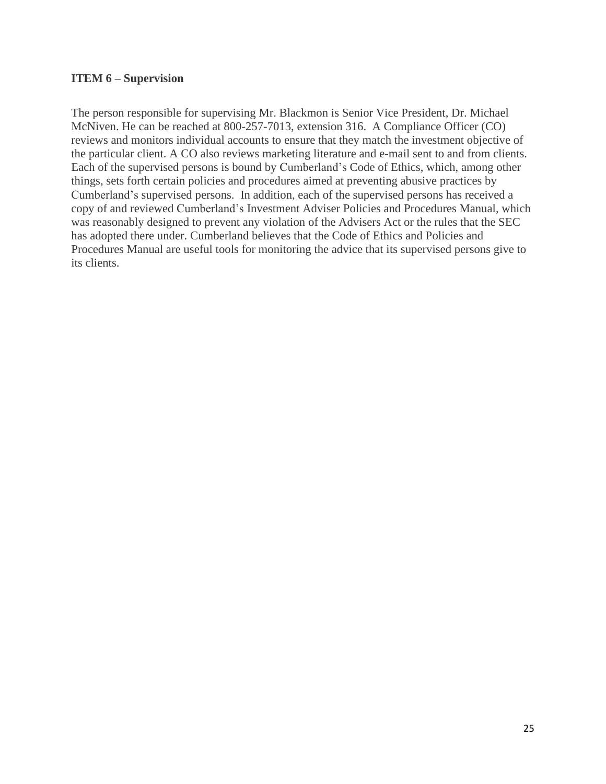#### **ITEM 6 – Supervision**

The person responsible for supervising Mr. Blackmon is Senior Vice President, Dr. Michael McNiven. He can be reached at 800-257-7013, extension 316. A Compliance Officer (CO) reviews and monitors individual accounts to ensure that they match the investment objective of the particular client. A CO also reviews marketing literature and e-mail sent to and from clients. Each of the supervised persons is bound by Cumberland's Code of Ethics, which, among other things, sets forth certain policies and procedures aimed at preventing abusive practices by Cumberland's supervised persons. In addition, each of the supervised persons has received a copy of and reviewed Cumberland's Investment Adviser Policies and Procedures Manual, which was reasonably designed to prevent any violation of the Advisers Act or the rules that the SEC has adopted there under. Cumberland believes that the Code of Ethics and Policies and Procedures Manual are useful tools for monitoring the advice that its supervised persons give to its clients.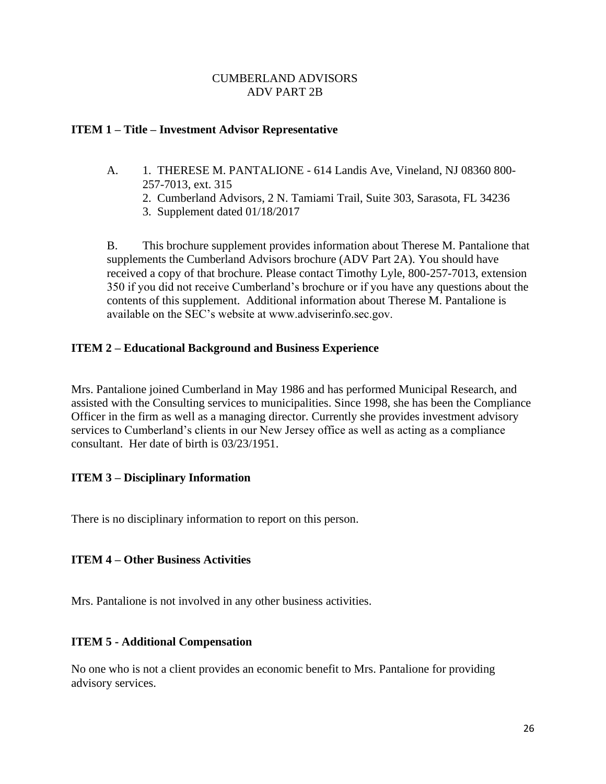#### **ITEM 1 – Title – Investment Advisor Representative**

- A. 1. THERESE M. PANTALIONE 614 Landis Ave, Vineland, NJ 08360 800- 257-7013, ext. 315
	- 2. Cumberland Advisors, 2 N. Tamiami Trail, Suite 303, Sarasota, FL 34236
	- 3. Supplement dated 01/18/2017

B. This brochure supplement provides information about Therese M. Pantalione that supplements the Cumberland Advisors brochure (ADV Part 2A). You should have received a copy of that brochure. Please contact Timothy Lyle, 800-257-7013, extension 350 if you did not receive Cumberland's brochure or if you have any questions about the contents of this supplement. Additional information about Therese M. Pantalione is available on the SEC's website at www.adviserinfo.sec.gov.

### **ITEM 2 – Educational Background and Business Experience**

Mrs. Pantalione joined Cumberland in May 1986 and has performed Municipal Research, and assisted with the Consulting services to municipalities. Since 1998, she has been the Compliance Officer in the firm as well as a managing director. Currently she provides investment advisory services to Cumberland's clients in our New Jersey office as well as acting as a compliance consultant. Her date of birth is 03/23/1951.

#### **ITEM 3 – Disciplinary Information**

There is no disciplinary information to report on this person.

#### **ITEM 4 – Other Business Activities**

Mrs. Pantalione is not involved in any other business activities.

#### **ITEM 5 - Additional Compensation**

No one who is not a client provides an economic benefit to Mrs. Pantalione for providing advisory services.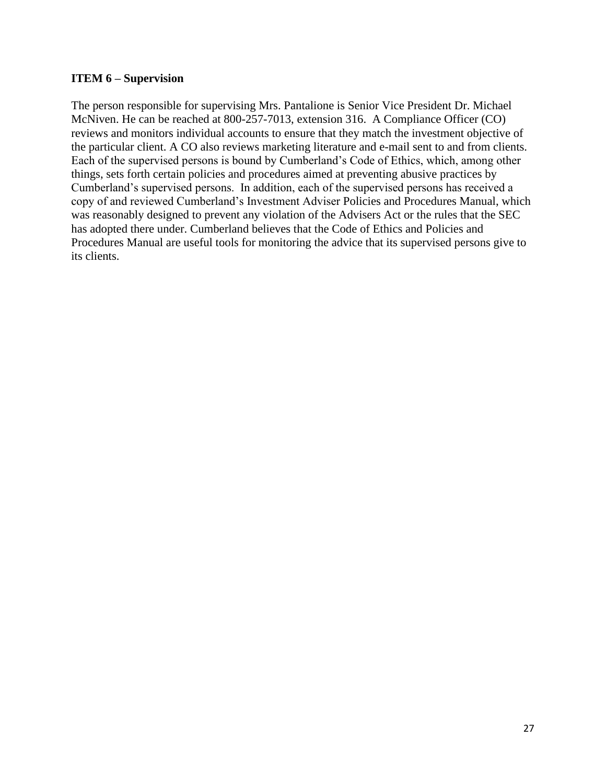#### **ITEM 6 – Supervision**

The person responsible for supervising Mrs. Pantalione is Senior Vice President Dr. Michael McNiven. He can be reached at 800-257-7013, extension 316. A Compliance Officer (CO) reviews and monitors individual accounts to ensure that they match the investment objective of the particular client. A CO also reviews marketing literature and e-mail sent to and from clients. Each of the supervised persons is bound by Cumberland's Code of Ethics, which, among other things, sets forth certain policies and procedures aimed at preventing abusive practices by Cumberland's supervised persons. In addition, each of the supervised persons has received a copy of and reviewed Cumberland's Investment Adviser Policies and Procedures Manual, which was reasonably designed to prevent any violation of the Advisers Act or the rules that the SEC has adopted there under. Cumberland believes that the Code of Ethics and Policies and Procedures Manual are useful tools for monitoring the advice that its supervised persons give to its clients.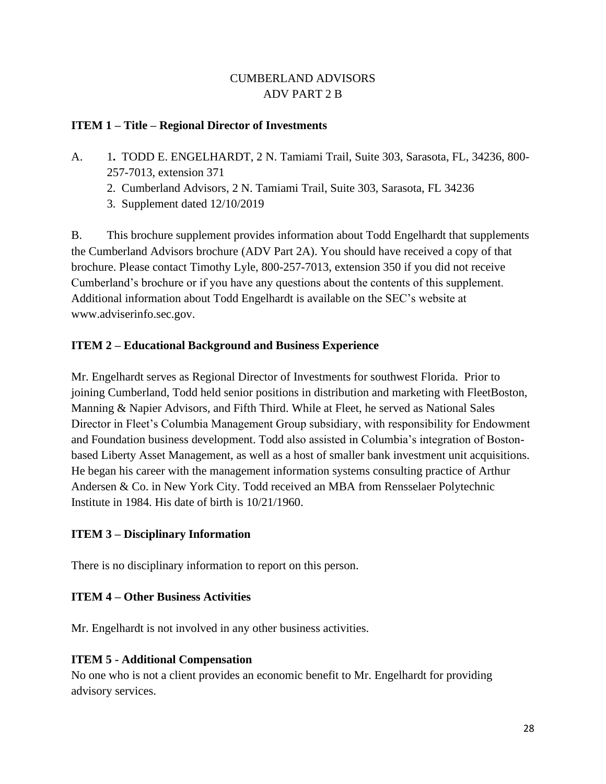## **ITEM 1 – Title – Regional Director of Investments**

- A. 1**.** TODD E. ENGELHARDT, 2 N. Tamiami Trail, Suite 303, Sarasota, FL, 34236, 800- 257-7013, extension 371
	- 2. Cumberland Advisors, 2 N. Tamiami Trail, Suite 303, Sarasota, FL 34236
	- 3. Supplement dated 12/10/2019

B. This brochure supplement provides information about Todd Engelhardt that supplements the Cumberland Advisors brochure (ADV Part 2A). You should have received a copy of that brochure. Please contact Timothy Lyle, 800-257-7013, extension 350 if you did not receive Cumberland's brochure or if you have any questions about the contents of this supplement. Additional information about Todd Engelhardt is available on the SEC's website at www.adviserinfo.sec.gov.

## **ITEM 2 – Educational Background and Business Experience**

Mr. Engelhardt serves as Regional Director of Investments for southwest Florida. Prior to joining Cumberland, Todd held senior positions in distribution and marketing with FleetBoston, Manning & Napier Advisors, and Fifth Third. While at Fleet, he served as National Sales Director in Fleet's Columbia Management Group subsidiary, with responsibility for Endowment and Foundation business development. Todd also assisted in Columbia's integration of Bostonbased Liberty Asset Management, as well as a host of smaller bank investment unit acquisitions. He began his career with the management information systems consulting practice of Arthur Andersen & Co. in New York City. Todd received an MBA from Rensselaer Polytechnic Institute in 1984. His date of birth is 10/21/1960.

## **ITEM 3 – Disciplinary Information**

There is no disciplinary information to report on this person.

## **ITEM 4 – Other Business Activities**

Mr. Engelhardt is not involved in any other business activities.

## **ITEM 5 - Additional Compensation**

No one who is not a client provides an economic benefit to Mr. Engelhardt for providing advisory services.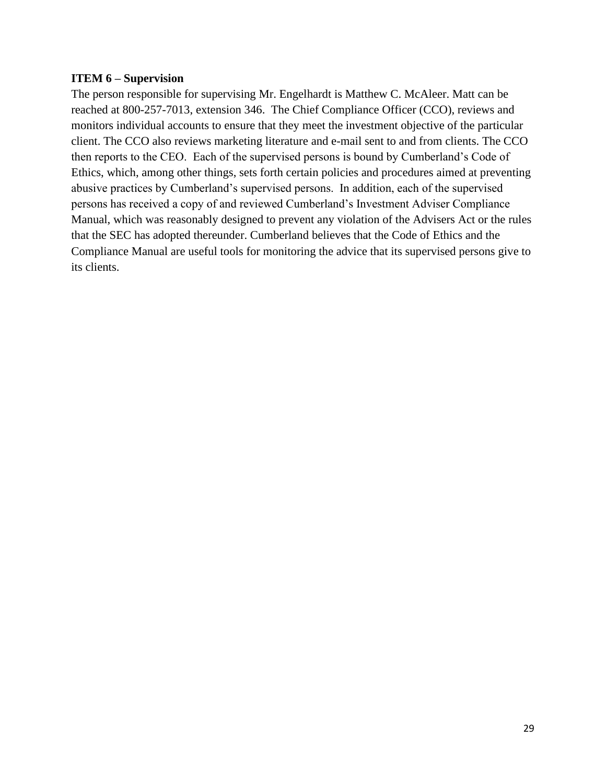#### **ITEM 6 – Supervision**

The person responsible for supervising Mr. Engelhardt is Matthew C. McAleer. Matt can be reached at 800-257-7013, extension 346. The Chief Compliance Officer (CCO), reviews and monitors individual accounts to ensure that they meet the investment objective of the particular client. The CCO also reviews marketing literature and e-mail sent to and from clients. The CCO then reports to the CEO. Each of the supervised persons is bound by Cumberland's Code of Ethics, which, among other things, sets forth certain policies and procedures aimed at preventing abusive practices by Cumberland's supervised persons. In addition, each of the supervised persons has received a copy of and reviewed Cumberland's Investment Adviser Compliance Manual, which was reasonably designed to prevent any violation of the Advisers Act or the rules that the SEC has adopted thereunder. Cumberland believes that the Code of Ethics and the Compliance Manual are useful tools for monitoring the advice that its supervised persons give to its clients.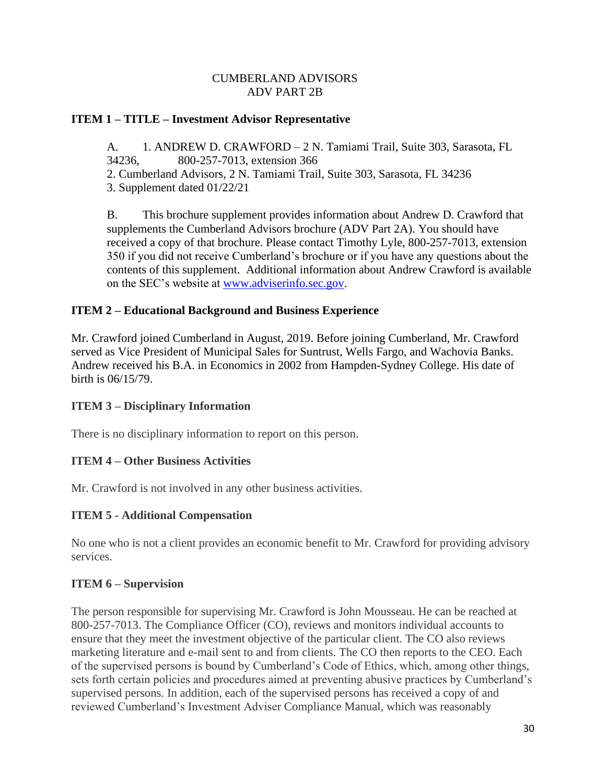### **ITEM 1 – TITLE – Investment Advisor Representative**

A. 1. ANDREW D. CRAWFORD – 2 N. Tamiami Trail, Suite 303, Sarasota, FL 34236, 800-257-7013, extension 366

2. Cumberland Advisors, 2 N. Tamiami Trail, Suite 303, Sarasota, FL 34236

3. Supplement dated 01/22/21

B. This brochure supplement provides information about Andrew D. Crawford that supplements the Cumberland Advisors brochure (ADV Part 2A). You should have received a copy of that brochure. Please contact Timothy Lyle, 800-257-7013, extension 350 if you did not receive Cumberland's brochure or if you have any questions about the contents of this supplement. Additional information about Andrew Crawford is available on the SEC's website at [www.adviserinfo.sec.gov.](http://www.adviserinfo.sec.gov/)

### **ITEM 2 – Educational Background and Business Experience**

Mr. Crawford joined Cumberland in August, 2019. Before joining Cumberland, Mr. Crawford served as Vice President of Municipal Sales for Suntrust, Wells Fargo, and Wachovia Banks. Andrew received his B.A. in Economics in 2002 from Hampden-Sydney College. His date of birth is 06/15/79.

#### **ITEM 3 – Disciplinary Information**

There is no disciplinary information to report on this person.

#### **ITEM 4 – Other Business Activities**

Mr. Crawford is not involved in any other business activities.

#### **ITEM 5 - Additional Compensation**

No one who is not a client provides an economic benefit to Mr. Crawford for providing advisory services.

#### **ITEM 6 – Supervision**

The person responsible for supervising Mr. Crawford is John Mousseau. He can be reached at 800-257-7013. The Compliance Officer (CO), reviews and monitors individual accounts to ensure that they meet the investment objective of the particular client. The CO also reviews marketing literature and e-mail sent to and from clients. The CO then reports to the CEO. Each of the supervised persons is bound by Cumberland's Code of Ethics, which, among other things, sets forth certain policies and procedures aimed at preventing abusive practices by Cumberland's supervised persons. In addition, each of the supervised persons has received a copy of and reviewed Cumberland's Investment Adviser Compliance Manual, which was reasonably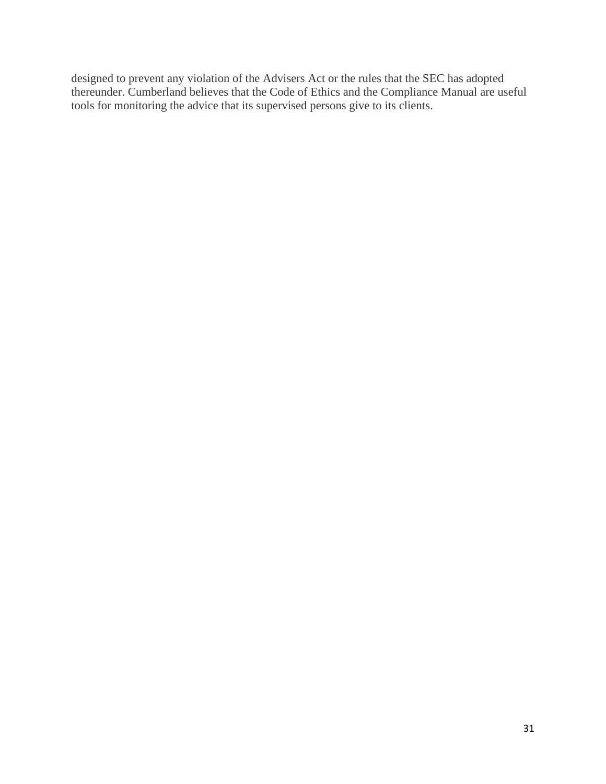designed to prevent any violation of the Advisers Act or the rules that the SEC has adopted thereunder. Cumberland believes that the Code of Ethics and the Compliance Manual are useful tools for monitoring the advice that its supervised persons give to its clients.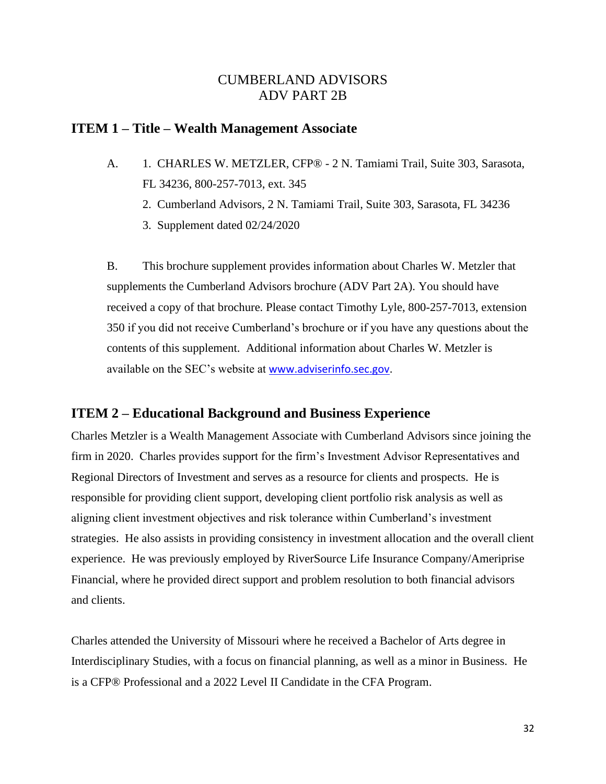### **ITEM 1 – Title – Wealth Management Associate**

- A. 1. CHARLES W. METZLER, CFP® 2 N. Tamiami Trail, Suite 303, Sarasota, FL 34236, 800-257-7013, ext. 345
	- 2. Cumberland Advisors, 2 N. Tamiami Trail, Suite 303, Sarasota, FL 34236
	- 3. Supplement dated 02/24/2020

B. This brochure supplement provides information about Charles W. Metzler that supplements the Cumberland Advisors brochure (ADV Part 2A). You should have received a copy of that brochure. Please contact Timothy Lyle, 800-257-7013, extension 350 if you did not receive Cumberland's brochure or if you have any questions about the contents of this supplement. Additional information about Charles W. Metzler is available on the SEC's website at [www.adviserinfo.sec.gov.](http://www.adviserinfo.sec.gov/)

## **ITEM 2 – Educational Background and Business Experience**

Charles Metzler is a Wealth Management Associate with Cumberland Advisors since joining the firm in 2020. Charles provides support for the firm's Investment Advisor Representatives and Regional Directors of Investment and serves as a resource for clients and prospects. He is responsible for providing client support, developing client portfolio risk analysis as well as aligning client investment objectives and risk tolerance within Cumberland's investment strategies. He also assists in providing consistency in investment allocation and the overall client experience. He was previously employed by RiverSource Life Insurance Company/Ameriprise Financial, where he provided direct support and problem resolution to both financial advisors and clients.

Charles attended the University of Missouri where he received a Bachelor of Arts degree in Interdisciplinary Studies, with a focus on financial planning, as well as a minor in Business. He is a CFP® Professional and a 2022 Level II Candidate in the CFA Program.